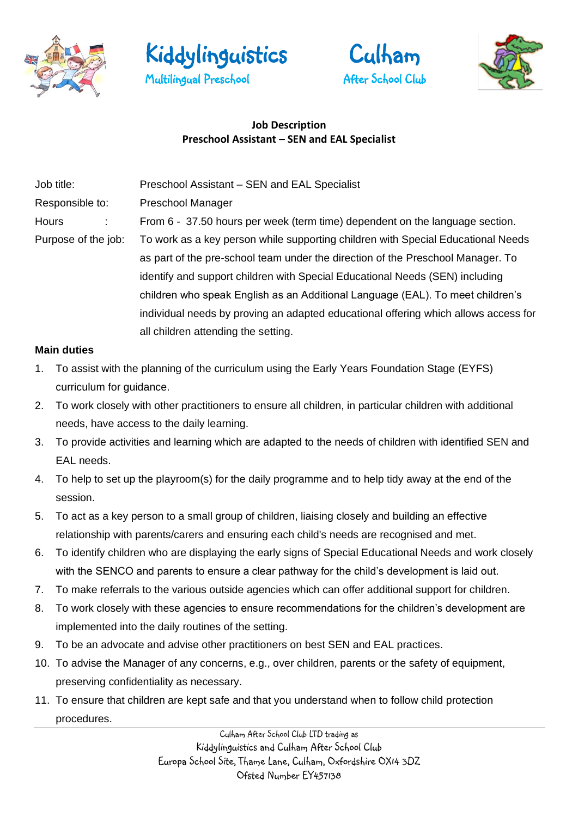







# **Job Description Preschool Assistant – SEN and EAL Specialist**

| Job title:          | Preschool Assistant – SEN and EAL Specialist                                        |
|---------------------|-------------------------------------------------------------------------------------|
| Responsible to:     | <b>Preschool Manager</b>                                                            |
| <b>Hours</b>        | From 6 - 37.50 hours per week (term time) dependent on the language section.        |
| Purpose of the job: | To work as a key person while supporting children with Special Educational Needs    |
|                     | as part of the pre-school team under the direction of the Preschool Manager. To     |
|                     | identify and support children with Special Educational Needs (SEN) including        |
|                     | children who speak English as an Additional Language (EAL). To meet children's      |
|                     | individual needs by proving an adapted educational offering which allows access for |
|                     | all children attending the setting.                                                 |

#### **Main duties**

- 1. To assist with the planning of the curriculum using the Early Years Foundation Stage (EYFS) curriculum for guidance.
- 2. To work closely with other practitioners to ensure all children, in particular children with additional needs, have access to the daily learning.
- 3. To provide activities and learning which are adapted to the needs of children with identified SEN and EAL needs.
- 4. To help to set up the playroom(s) for the daily programme and to help tidy away at the end of the session.
- 5. To act as a key person to a small group of children, liaising closely and building an effective relationship with parents/carers and ensuring each child's needs are recognised and met.
- 6. To identify children who are displaying the early signs of Special Educational Needs and work closely with the SENCO and parents to ensure a clear pathway for the child's development is laid out.
- 7. To make referrals to the various outside agencies which can offer additional support for children.
- 8. To work closely with these agencies to ensure recommendations for the children's development are implemented into the daily routines of the setting.
- 9. To be an advocate and advise other practitioners on best SEN and EAL practices.
- 10. To advise the Manager of any concerns, e.g., over children, parents or the safety of equipment, preserving confidentiality as necessary.
- 11. To ensure that children are kept safe and that you understand when to follow child protection procedures.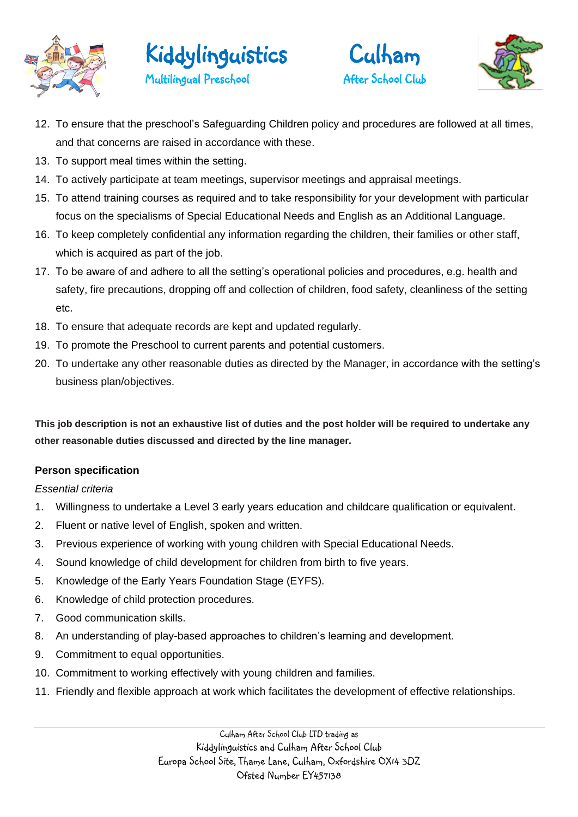







- 12. To ensure that the preschool's Safeguarding Children policy and procedures are followed at all times, and that concerns are raised in accordance with these.
- 13. To support meal times within the setting.
- 14. To actively participate at team meetings, supervisor meetings and appraisal meetings.
- 15. To attend training courses as required and to take responsibility for your development with particular focus on the specialisms of Special Educational Needs and English as an Additional Language.
- 16. To keep completely confidential any information regarding the children, their families or other staff, which is acquired as part of the job.
- 17. To be aware of and adhere to all the setting's operational policies and procedures, e.g. health and safety, fire precautions, dropping off and collection of children, food safety, cleanliness of the setting etc.
- 18. To ensure that adequate records are kept and updated regularly.
- 19. To promote the Preschool to current parents and potential customers.
- 20. To undertake any other reasonable duties as directed by the Manager, in accordance with the setting's business plan/objectives.

**This job description is not an exhaustive list of duties and the post holder will be required to undertake any other reasonable duties discussed and directed by the line manager.**

#### **Person specification**

#### *Essential criteria*

- 1. Willingness to undertake a Level 3 early years education and childcare qualification or equivalent.
- 2. Fluent or native level of English, spoken and written.
- 3. Previous experience of working with young children with Special Educational Needs.
- 4. Sound knowledge of child development for children from birth to five years.
- 5. Knowledge of the Early Years Foundation Stage (EYFS).
- 6. Knowledge of child protection procedures.
- 7. Good communication skills.
- 8. An understanding of play-based approaches to children's learning and development.
- 9. Commitment to equal opportunities.
- 10. Commitment to working effectively with young children and families.
- 11. Friendly and flexible approach at work which facilitates the development of effective relationships.